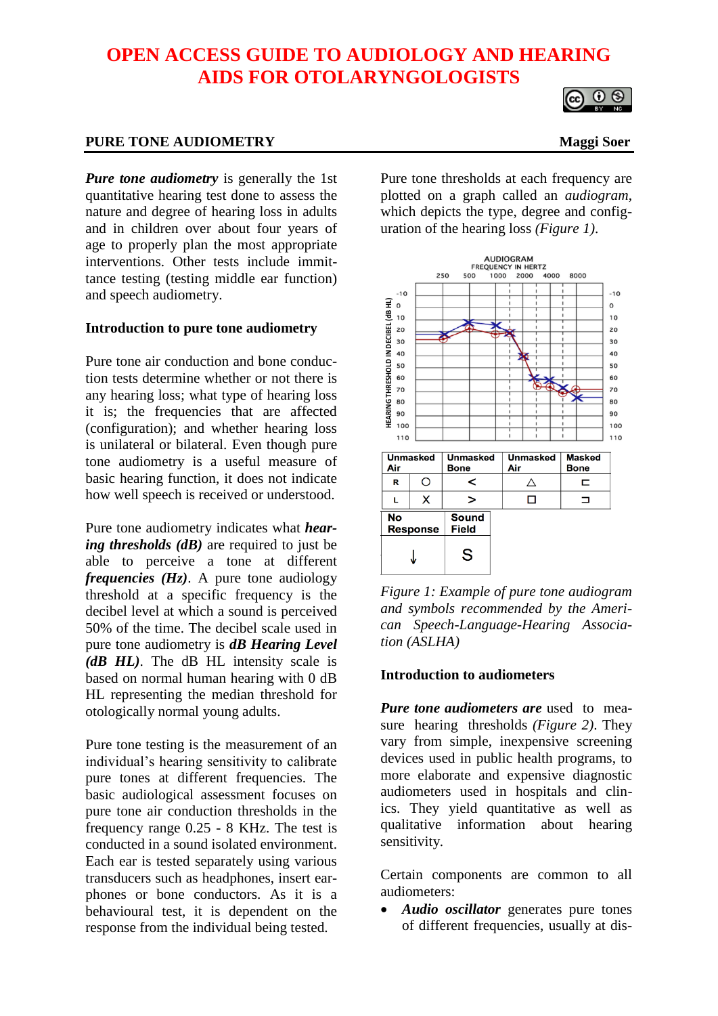# **OPEN ACCESS GUIDE TO AUDIOLOGY AND HEARING AIDS FOR OTOLARYNGOLOGISTS**

#### **PURE TONE AUDIOMETRY** Maggi Soer

*Pure tone audiometry* is generally the 1st quantitative hearing test done to assess the nature and degree of hearing loss in adults and in children over about four years of age to properly plan the most appropriate interventions. Other tests include immittance testing (testing middle ear function) and speech audiometry.

#### **Introduction to pure tone audiometry**

Pure tone air conduction and bone conduction tests determine whether or not there is any hearing loss; what type of hearing loss it is; the frequencies that are affected (configuration); and whether hearing loss is unilateral or bilateral. Even though pure tone audiometry is a useful measure of basic hearing function, it does not indicate how well speech is received or understood.

Pure tone audiometry indicates what *hearing thresholds (dB)* are required to just be able to perceive a tone at different *frequencies (Hz)*. A pure tone audiology threshold at a specific frequency is the decibel level at which a sound is perceived 50% of the time. The decibel scale used in pure tone audiometry is *dB Hearing Level (dB HL)*. The dB HL intensity scale is based on normal human hearing with 0 dB HL representing the median threshold for otologically normal young adults.

Pure tone testing is the measurement of an individual's hearing sensitivity to calibrate pure tones at different frequencies. The basic audiological assessment focuses on pure tone air conduction thresholds in the frequency range 0.25 - 8 KHz. The test is conducted in a sound isolated environment. Each ear is tested separately using various transducers such as headphones, insert earphones or bone conductors. As it is a behavioural test, it is dependent on the response from the individual being tested.

Pure tone thresholds at each frequency are plotted on a graph called an *audiogram*, which depicts the type, degree and configuration of the hearing loss *(Figure 1)*.



*Figure 1: Example of pure tone audiogram and symbols recommended by the American Speech-Language-Hearing Association (ASLHA)*

#### **Introduction to audiometers**

*Pure tone audiometers are* used to measure hearing thresholds *(Figure 2)*. They vary from simple, inexpensive screening devices used in public health programs, to more elaborate and expensive diagnostic audiometers used in hospitals and clinics. They yield quantitative as well as qualitative information about hearing sensitivity.

Certain components are common to all audiometers:

• *Audio oscillator* generates pure tones of different frequencies, usually at dis-

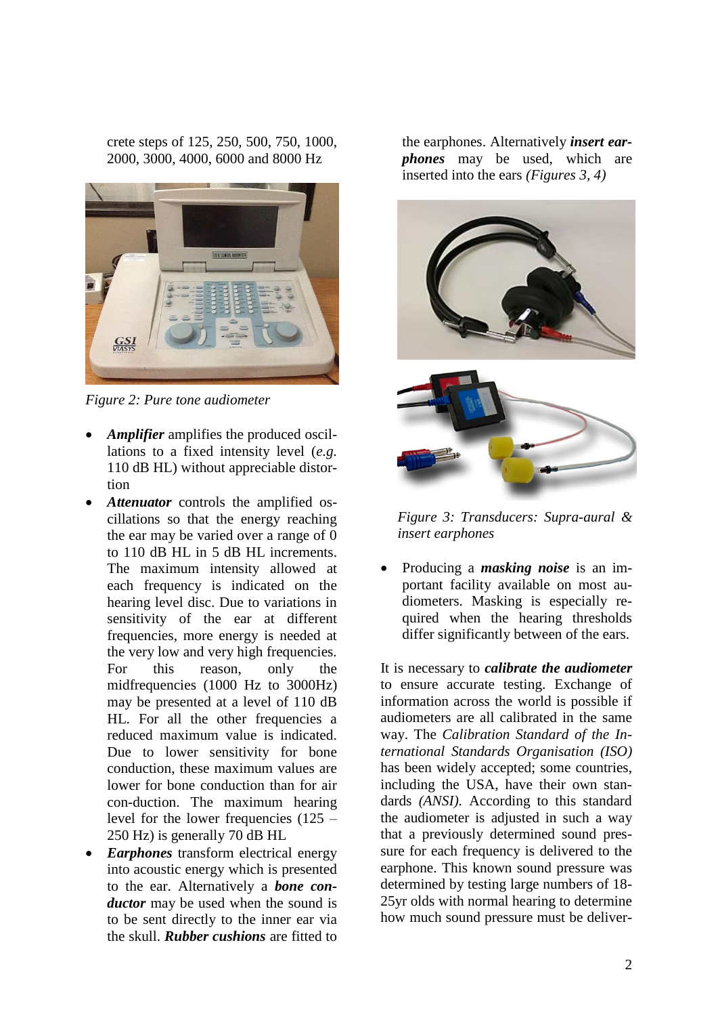crete steps of 125, 250, 500, 750, 1000, 2000, 3000, 4000, 6000 and 8000 Hz



*Figure 2: Pure tone audiometer*

- *Amplifier* amplifies the produced oscillations to a fixed intensity level (*e.g.* 110 dB HL) without appreciable distortion
- Attenuator controls the amplified oscillations so that the energy reaching the ear may be varied over a range of 0 to 110 dB HL in 5 dB HL increments. The maximum intensity allowed at each frequency is indicated on the hearing level disc. Due to variations in sensitivity of the ear at different frequencies, more energy is needed at the very low and very high frequencies. For this reason, only the midfrequencies (1000 Hz to 3000Hz) may be presented at a level of 110 dB HL. For all the other frequencies a reduced maximum value is indicated. Due to lower sensitivity for bone conduction, these maximum values are lower for bone conduction than for air con-duction. The maximum hearing level for the lower frequencies (125 – 250 Hz) is generally 70 dB HL
- *Earphones* transform electrical energy into acoustic energy which is presented to the ear. Alternatively a *bone conductor* may be used when the sound is to be sent directly to the inner ear via the skull. *Rubber cushions* are fitted to

the earphones. Alternatively *insert earphones* may be used, which are inserted into the ears *(Figures 3, 4)*



*Figure 3: Transducers: Supra-aural & insert earphones*

• Producing a *masking noise* is an important facility available on most audiometers. Masking is especially required when the hearing thresholds differ significantly between of the ears.

It is necessary to *calibrate the audiometer* to ensure accurate testing. Exchange of information across the world is possible if audiometers are all calibrated in the same way. The *Calibration Standard of the International Standards Organisation (ISO)* has been widely accepted; some countries, including the USA, have their own standards *(ANSI).* According to this standard the audiometer is adjusted in such a way that a previously determined sound pressure for each frequency is delivered to the earphone. This known sound pressure was determined by testing large numbers of 18- 25yr olds with normal hearing to determine how much sound pressure must be deliver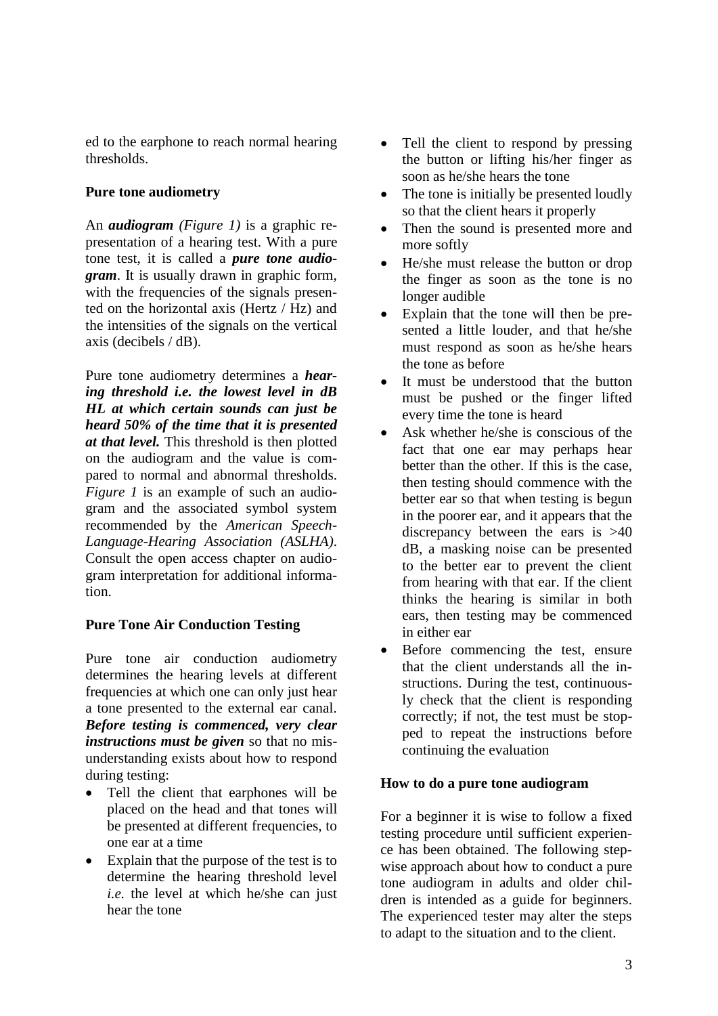ed to the earphone to reach normal hearing thresholds.

### **Pure tone audiometry**

An *audiogram (Figure 1)* is a graphic representation of a hearing test. With a pure tone test, it is called a *pure tone audiogram*. It is usually drawn in graphic form, with the frequencies of the signals presented on the horizontal axis (Hertz / Hz) and the intensities of the signals on the vertical axis (decibels / dB).

Pure tone audiometry determines a *hearing threshold i.e. the lowest level in dB HL at which certain sounds can just be heard 50% of the time that it is presented at that level.* This threshold is then plotted on the audiogram and the value is compared to normal and abnormal thresholds. *Figure 1* is an example of such an audiogram and the associated symbol system recommended by the *American Speech-Language-Hearing Association (ASLHA)*. Consult the open access chapter on audiogram interpretation for additional information.

### **Pure Tone Air Conduction Testing**

Pure tone air conduction audiometry determines the hearing levels at different frequencies at which one can only just hear a tone presented to the external ear canal. *Before testing is commenced, very clear instructions must be given* so that no misunderstanding exists about how to respond during testing:

- Tell the client that earphones will be placed on the head and that tones will be presented at different frequencies, to one ear at a time
- Explain that the purpose of the test is to determine the hearing threshold level *i.e.* the level at which he/she can just hear the tone
- Tell the client to respond by pressing the button or lifting his/her finger as soon as he/she hears the tone
- The tone is initially be presented loudly so that the client hears it properly
- Then the sound is presented more and more softly
- He/she must release the button or drop the finger as soon as the tone is no longer audible
- Explain that the tone will then be presented a little louder, and that he/she must respond as soon as he/she hears the tone as before
- It must be understood that the button must be pushed or the finger lifted every time the tone is heard
- Ask whether he/she is conscious of the fact that one ear may perhaps hear better than the other. If this is the case, then testing should commence with the better ear so that when testing is begun in the poorer ear, and it appears that the discrepancy between the ears is >40 dB, a masking noise can be presented to the better ear to prevent the client from hearing with that ear. If the client thinks the hearing is similar in both ears, then testing may be commenced in either ear
- Before commencing the test, ensure that the client understands all the instructions. During the test, continuously check that the client is responding correctly; if not, the test must be stopped to repeat the instructions before continuing the evaluation

### **How to do a pure tone audiogram**

For a beginner it is wise to follow a fixed testing procedure until sufficient experience has been obtained. The following stepwise approach about how to conduct a pure tone audiogram in adults and older children is intended as a guide for beginners. The experienced tester may alter the steps to adapt to the situation and to the client.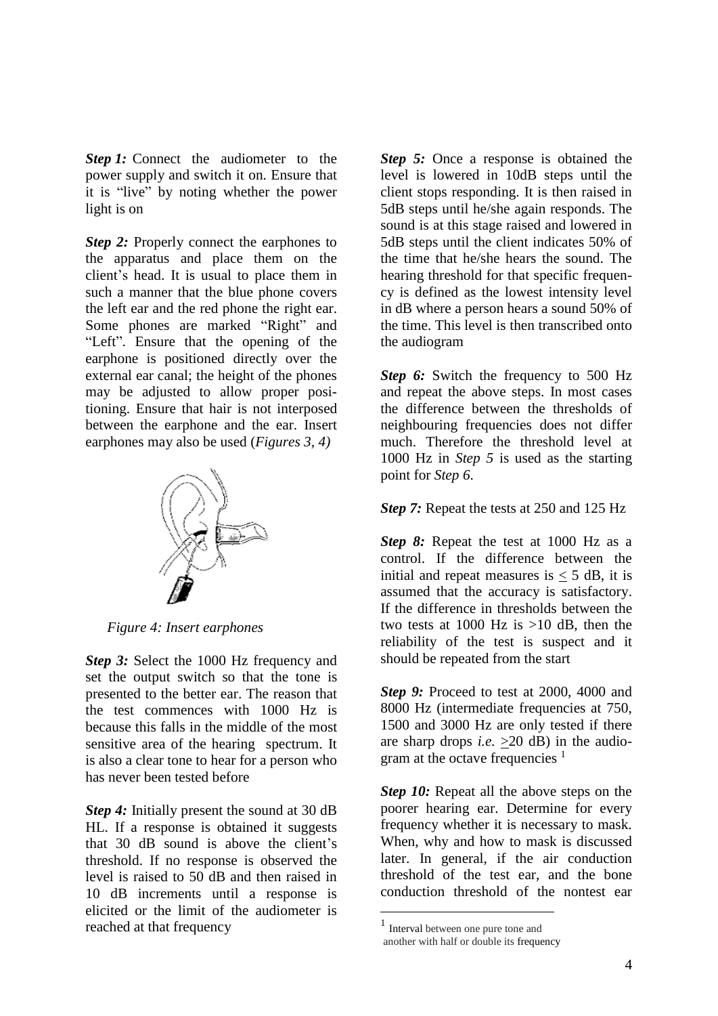*Step 1:* Connect the audiometer to the power supply and switch it on. Ensure that it is "live" by noting whether the power light is on

*Step 2:* Properly connect the earphones to the apparatus and place them on the client's head. It is usual to place them in such a manner that the blue phone covers the left ear and the red phone the right ear. Some phones are marked "Right" and "Left". Ensure that the opening of the earphone is positioned directly over the external ear canal; the height of the phones may be adjusted to allow proper positioning. Ensure that hair is not interposed between the earphone and the ear. Insert earphones may also be used (*Figures 3, 4)*



*Figure 4: Insert earphones*

*Step 3:* Select the 1000 Hz frequency and set the output switch so that the tone is presented to the better ear. The reason that the test commences with 1000 Hz is because this falls in the middle of the most sensitive area of the hearing spectrum. It is also a clear tone to hear for a person who has never been tested before

*Step 4:* Initially present the sound at 30 dB HL. If a response is obtained it suggests that 30 dB sound is above the client's threshold. If no response is observed the level is raised to 50 dB and then raised in 10 dB increments until a response is elicited or the limit of the audiometer is reached at that frequency

*Step 5:* Once a response is obtained the level is lowered in 10dB steps until the client stops responding. It is then raised in 5dB steps until he/she again responds. The sound is at this stage raised and lowered in 5dB steps until the client indicates 50% of the time that he/she hears the sound. The hearing threshold for that specific frequency is defined as the lowest intensity level in dB where a person hears a sound 50% of the time. This level is then transcribed onto the audiogram

*Step 6:* Switch the frequency to 500 Hz and repeat the above steps. In most cases the difference between the thresholds of neighbouring frequencies does not differ much. Therefore the threshold level at 1000 Hz in *Step 5* is used as the starting point for *Step 6*.

*Step 7:* Repeat the tests at 250 and 125 Hz

*Step 8:* Repeat the test at 1000 Hz as a control. If the difference between the initial and repeat measures is  $< 5$  dB, it is assumed that the accuracy is satisfactory. If the difference in thresholds between the two tests at 1000 Hz is  $>10$  dB, then the reliability of the test is suspect and it should be repeated from the start

*Step 9:* Proceed to test at 2000, 4000 and 8000 Hz (intermediate frequencies at 750, 1500 and 3000 Hz are only tested if there are sharp drops *i.e.*  $\geq$ 20 dB) in the audiogram at the octave frequencies  $<sup>1</sup>$ </sup>

*Step 10:* Repeat all the above steps on the poorer hearing ear. Determine for every frequency whether it is necessary to mask. When, why and how to mask is discussed later. In general, if the air conduction threshold of the test ear, and the bone conduction threshold of the nontest ear

<u>.</u>

<sup>1</sup> [Interval](http://en.wikipedia.org/wiki/Interval_(music)) between one pure tone and another with half or double its [frequency](http://en.wikipedia.org/wiki/Frequency)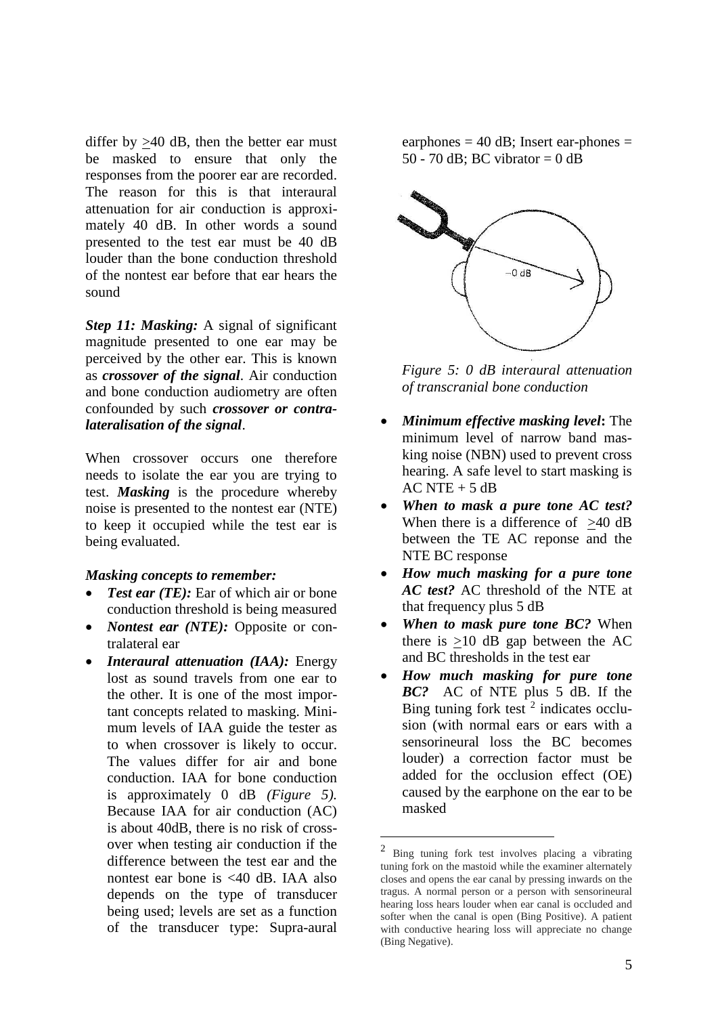differ by >40 dB, then the better ear must be masked to ensure that only the responses from the poorer ear are recorded. The reason for this is that interaural attenuation for air conduction is approximately 40 dB. In other words a sound presented to the test ear must be 40 dB louder than the bone conduction threshold of the nontest ear before that ear hears the sound

*Step 11: Masking:* A signal of significant magnitude presented to one ear may be perceived by the other ear. This is known as *crossover of the signal*. Air conduction and bone conduction audiometry are often confounded by such *crossover or contralateralisation of the signal*.

When crossover occurs one therefore needs to isolate the ear you are trying to test. *Masking* is the procedure whereby noise is presented to the nontest ear (NTE) to keep it occupied while the test ear is being evaluated.

#### *Masking concepts to remember:*

- *Test ear (TE)*: Ear of which air or bone conduction threshold is being measured
- *Nontest ear (NTE):* Opposite or contralateral ear
- *Interaural attenuation (IAA):* Energy lost as sound travels from one ear to the other. It is one of the most important concepts related to masking. Minimum levels of IAA guide the tester as to when crossover is likely to occur. The values differ for air and bone conduction. IAA for bone conduction is approximately 0 dB *(Figure 5).*  Because IAA for air conduction (AC) is about 40dB, there is no risk of crossover when testing air conduction if the difference between the test ear and the nontest ear bone is <40 dB. IAA also depends on the type of transducer being used; levels are set as a function of the transducer type: Supra-aural

earphones  $= 40$  dB; Insert ear-phones  $=$ 50 - 70 dB; BC vibrator  $= 0$  dB



*Figure 5: 0 dB interaural attenuation of transcranial bone conduction*

- *Minimum effective masking level***:** The minimum level of narrow band masking noise (NBN) used to prevent cross hearing. A safe level to start masking is  $AC NTE + 5 dB$
- *When to mask a pure tone AC test?*  When there is a difference of  $>40$  dB between the TE AC reponse and the NTE BC response
- *How much masking for a pure tone AC test?* AC threshold of the NTE at that frequency plus 5 dB
- *When to mask pure tone BC?* When there is  $>10$  dB gap between the AC and BC thresholds in the test ear
- *How much masking for pure tone BC?* AC of NTE plus 5 dB. If the Bing tuning fork test  $2$  indicates occlusion (with normal ears or ears with a sensorineural loss the BC becomes louder) a correction factor must be added for the occlusion effect (OE) caused by the earphone on the ear to be masked

<u>.</u>

<sup>2</sup> Bing tuning fork test involves placing a vibrating tuning fork on the mastoid while the examiner alternately closes and opens the ear canal by pressing inwards on the tragus. A normal person or a person with sensorineural hearing loss hears louder when ear canal is occluded and softer when the canal is open (Bing Positive). A patient with conductive hearing loss will appreciate no change (Bing Negative).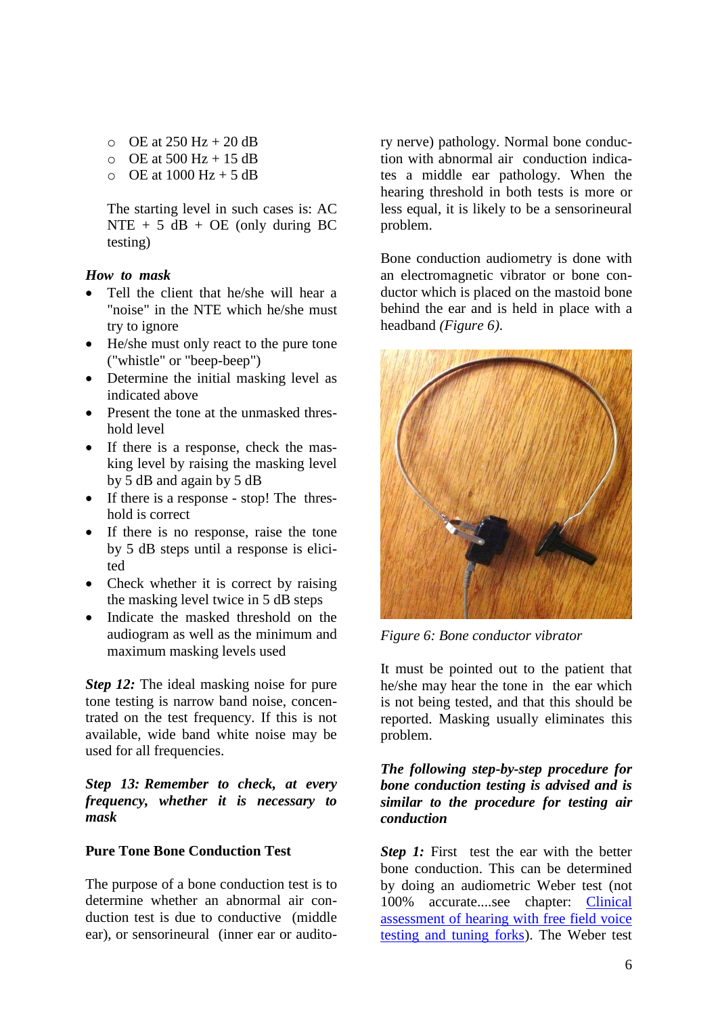- $\degree$  OE at 250 Hz + 20 dB
- $\circ$  OE at 500 Hz + 15 dB
- $\circ$  OE at 1000 Hz + 5 dB

The starting level in such cases is: AC NTE + 5  $dB$  + OE (only during BC) testing)

### *How to mask*

- Tell the client that he/she will hear a "noise" in the NTE which he/she must try to ignore
- He/she must only react to the pure tone ("whistle" or "beep-beep")
- Determine the initial masking level as indicated above
- Present the tone at the unmasked threshold level
- If there is a response, check the masking level by raising the masking level by 5 dB and again by 5 dB
- If there is a response stop! The threshold is correct
- If there is no response, raise the tone by 5 dB steps until a response is elicited
- Check whether it is correct by raising the masking level twice in 5 dB steps
- Indicate the masked threshold on the audiogram as well as the minimum and maximum masking levels used

*Step 12:* The ideal masking noise for pure tone testing is narrow band noise, concentrated on the test frequency. If this is not available, wide band white noise may be used for all frequencies.

*Step 13: Remember to check, at every frequency, whether it is necessary to mask*

#### **Pure Tone Bone Conduction Test**

The purpose of a bone conduction test is to determine whether an abnormal air conduction test is due to conductive (middle ear), or sensorineural (inner ear or auditory nerve) pathology. Normal bone conduction with abnormal air conduction indicates a middle ear pathology. When the hearing threshold in both tests is more or less equal, it is likely to be a sensorineural problem.

Bone conduction audiometry is done with an electromagnetic vibrator or bone conductor which is placed on the mastoid bone behind the ear and is held in place with a headband *(Figure 6)*.



*Figure 6: Bone conductor vibrator*

It must be pointed out to the patient that he/she may hear the tone in the ear which is not being tested, and that this should be reported. Masking usually eliminates this problem.

#### *The following step-by-step procedure for bone conduction testing is advised and is similar to the procedure for testing air conduction*

*Step 1:* First test the ear with the better bone conduction. This can be determined by doing an audiometric Weber test (not 100% accurate....see chapter: [Clinical](https://vula.uct.ac.za/access/content/group/27b5cb1b-1b65-4280-9437-a9898ddd4c40/Clinical%20assessment%20of%20hearing%20with%20free%20field%20voice%20testing%20and%20tuning%20forks.pdf)  [assessment of hearing with free field voice](https://vula.uct.ac.za/access/content/group/27b5cb1b-1b65-4280-9437-a9898ddd4c40/Clinical%20assessment%20of%20hearing%20with%20free%20field%20voice%20testing%20and%20tuning%20forks.pdf)  [testing and tuning forks\)](https://vula.uct.ac.za/access/content/group/27b5cb1b-1b65-4280-9437-a9898ddd4c40/Clinical%20assessment%20of%20hearing%20with%20free%20field%20voice%20testing%20and%20tuning%20forks.pdf). The Weber test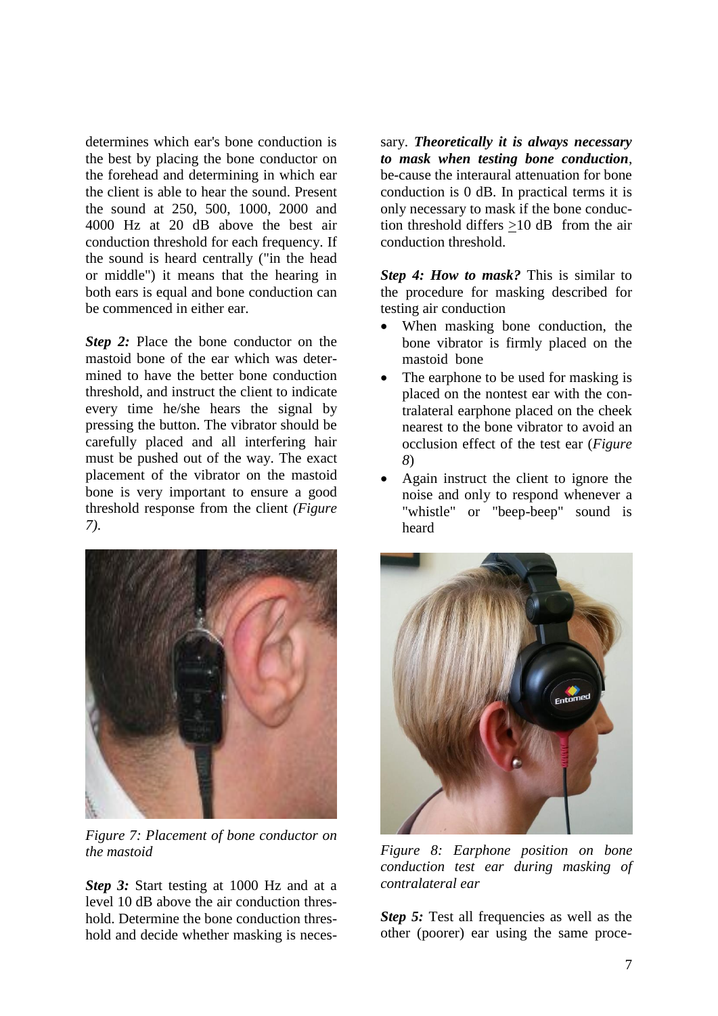determines which ear's bone conduction is the best by placing the bone conductor on the forehead and determining in which ear the client is able to hear the sound. Present the sound at 250, 500, 1000, 2000 and 4000 Hz at 20 dB above the best air conduction threshold for each frequency. If the sound is heard centrally ("in the head or middle") it means that the hearing in both ears is equal and bone conduction can be commenced in either ear.

*Step 2:* Place the bone conductor on the mastoid bone of the ear which was determined to have the better bone conduction threshold, and instruct the client to indicate every time he/she hears the signal by pressing the button. The vibrator should be carefully placed and all interfering hair must be pushed out of the way. The exact placement of the vibrator on the mastoid bone is very important to ensure a good threshold response from the client *(Figure 7)*.



*Figure 7: Placement of bone conductor on the mastoid*

*Step 3:* Start testing at 1000 Hz and at a level 10 dB above the air conduction threshold. Determine the bone conduction threshold and decide whether masking is necessary. *Theoretically it is always necessary to mask when testing bone conduction*, be-cause the interaural attenuation for bone conduction is 0 dB. In practical terms it is only necessary to mask if the bone conduction threshold differs >10 dB from the air conduction threshold.

*Step 4: How to mask?* This is similar to the procedure for masking described for testing air conduction

- When masking bone conduction, the bone vibrator is firmly placed on the mastoid bone
- The earphone to be used for masking is placed on the nontest ear with the contralateral earphone placed on the cheek nearest to the bone vibrator to avoid an occlusion effect of the test ear (*Figure 8*)
- Again instruct the client to ignore the noise and only to respond whenever a "whistle" or "beep-beep" sound is heard



*Figure 8: Earphone position on bone conduction test ear during masking of contralateral ear*

*Step 5:* Test all frequencies as well as the other (poorer) ear using the same proce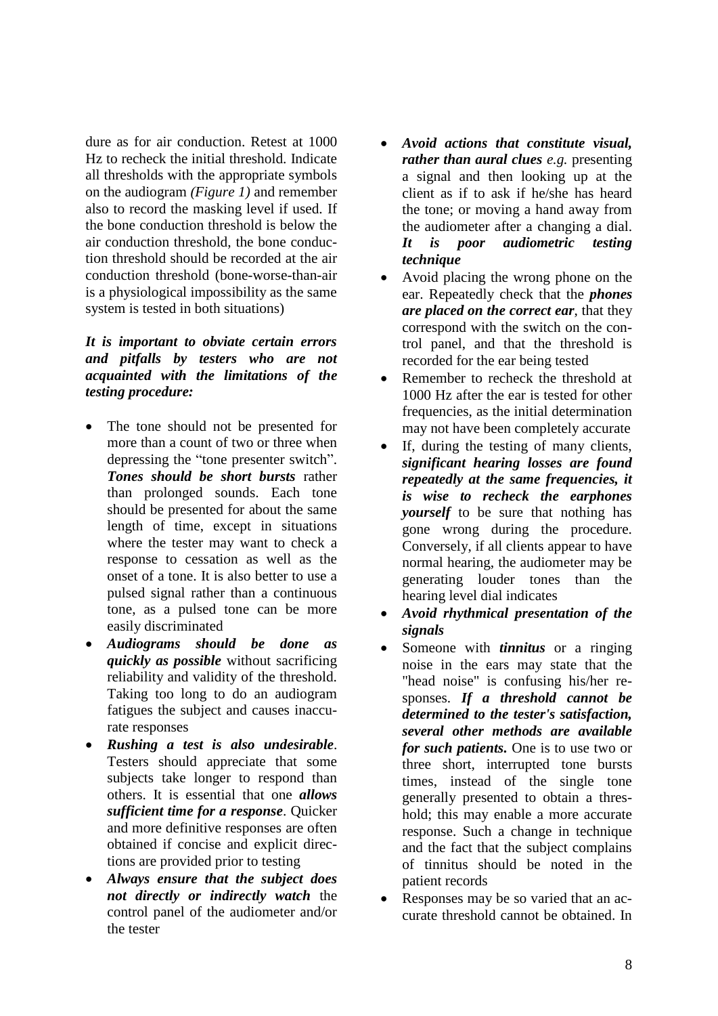dure as for air conduction. Retest at 1000 Hz to recheck the initial threshold. Indicate all thresholds with the appropriate symbols on the audiogram *(Figure 1)* and remember also to record the masking level if used. If the bone conduction threshold is below the air conduction threshold, the bone conduction threshold should be recorded at the air conduction threshold (bone-worse-than-air is a physiological impossibility as the same system is tested in both situations)

#### *It is important to obviate certain errors and pitfalls by testers who are not acquainted with the limitations of the testing procedure:*

- The tone should not be presented for more than a count of two or three when depressing the "tone presenter switch". *Tones should be short bursts* rather than prolonged sounds. Each tone should be presented for about the same length of time, except in situations where the tester may want to check a response to cessation as well as the onset of a tone. It is also better to use a pulsed signal rather than a continuous tone, as a pulsed tone can be more easily discriminated
- *Audiograms should be done as quickly as possible* without sacrificing reliability and validity of the threshold. Taking too long to do an audiogram fatigues the subject and causes inaccurate responses
- *Rushing a test is also undesirable*. Testers should appreciate that some subjects take longer to respond than others. It is essential that one *allows sufficient time for a response*. Quicker and more definitive responses are often obtained if concise and explicit directions are provided prior to testing
- *Always ensure that the subject does not directly or indirectly watch* the control panel of the audiometer and/or the tester
- *Avoid actions that constitute visual, rather than aural clues e.g.* presenting a signal and then looking up at the client as if to ask if he/she has heard the tone; or moving a hand away from the audiometer after a changing a dial. *It is poor audiometric testing technique*
- Avoid placing the wrong phone on the ear. Repeatedly check that the *phones are placed on the correct ear*, that they correspond with the switch on the control panel, and that the threshold is recorded for the ear being tested
- Remember to recheck the threshold at 1000 Hz after the ear is tested for other frequencies, as the initial determination may not have been completely accurate
- If, during the testing of many clients, *significant hearing losses are found repeatedly at the same frequencies, it is wise to recheck the earphones yourself* to be sure that nothing has gone wrong during the procedure. Conversely, if all clients appear to have normal hearing, the audiometer may be generating louder tones than the hearing level dial indicates
- *Avoid rhythmical presentation of the signals*
- Someone with *tinnitus* or a ringing noise in the ears may state that the "head noise" is confusing his/her responses. *If a threshold cannot be determined to the tester's satisfaction, several other methods are available for such patients.* One is to use two or three short, interrupted tone bursts times, instead of the single tone generally presented to obtain a threshold; this may enable a more accurate response. Such a change in technique and the fact that the subject complains of tinnitus should be noted in the patient records
- Responses may be so varied that an accurate threshold cannot be obtained. In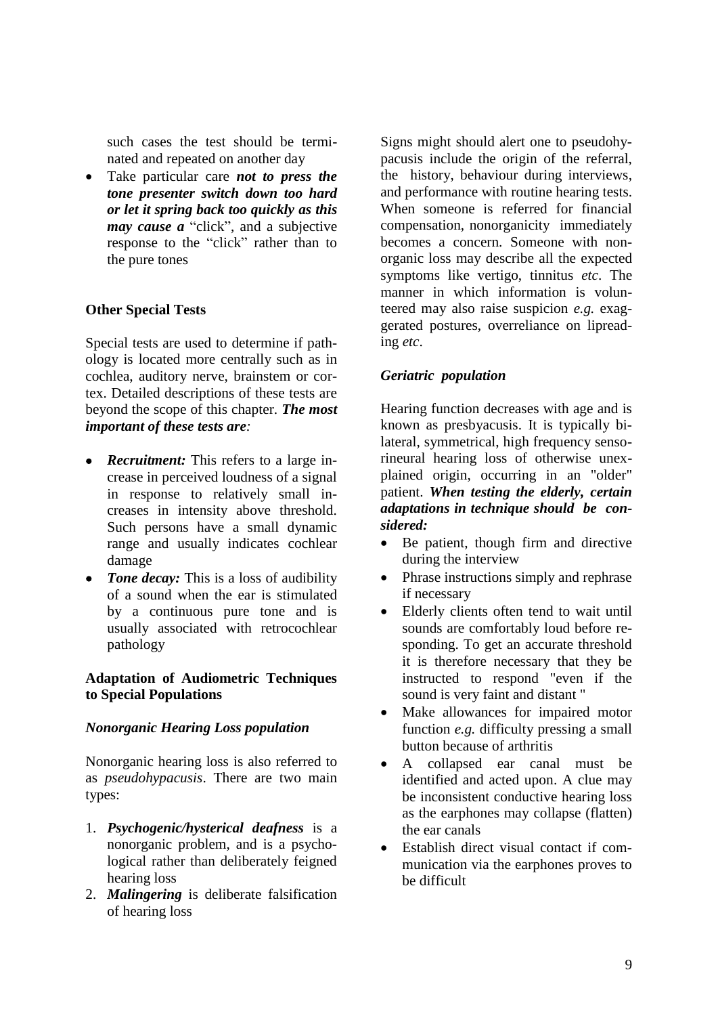such cases the test should be terminated and repeated on another day

• Take particular care *not to press the tone presenter switch down too hard or let it spring back too quickly as this may cause a* "click", and a subjective response to the "click" rather than to the pure tones

### **Other Special Tests**

Special tests are used to determine if pathology is located more centrally such as in cochlea, auditory nerve, brainstem or cortex. Detailed descriptions of these tests are beyond the scope of this chapter. *The most important of these tests are:*

- *Recruitment:* This refers to a large increase in perceived loudness of a signal in response to relatively small increases in intensity above threshold. Such persons have a small dynamic range and usually indicates cochlear damage
- *Tone decay:* This is a loss of audibility of a sound when the ear is stimulated by a continuous pure tone and is usually associated with retrocochlear pathology

#### **Adaptation of Audiometric Techniques to Special Populations**

#### *Nonorganic Hearing Loss population*

Nonorganic hearing loss is also referred to as *pseudohypacusis*. There are two main types:

- 1. *Psychogenic/hysterical deafness* is a nonorganic problem, and is a psychological rather than deliberately feigned hearing loss
- 2. *Malingering* is deliberate falsification of hearing loss

Signs might should alert one to pseudohypacusis include the origin of the referral, the history, behaviour during interviews, and performance with routine hearing tests. When someone is referred for financial compensation, nonorganicity immediately becomes a concern. Someone with nonorganic loss may describe all the expected symptoms like vertigo, tinnitus *etc*. The manner in which information is volunteered may also raise suspicion *e.g.* exaggerated postures, overreliance on lipreading *etc*.

#### *Geriatric population*

Hearing function decreases with age and is known as presbyacusis. It is typically bilateral, symmetrical, high frequency sensorineural hearing loss of otherwise unexplained origin, occurring in an "older" patient. *When testing the elderly, certain adaptations in technique should be considered:*

- Be patient, though firm and directive during the interview
- Phrase instructions simply and rephrase if necessary
- Elderly clients often tend to wait until sounds are comfortably loud before responding. To get an accurate threshold it is therefore necessary that they be instructed to respond "even if the sound is very faint and distant "
- Make allowances for impaired motor function *e.g.* difficulty pressing a small button because of arthritis
- A collapsed ear canal must be identified and acted upon. A clue may be inconsistent conductive hearing loss as the earphones may collapse (flatten) the ear canals
- Establish direct visual contact if communication via the earphones proves to be difficult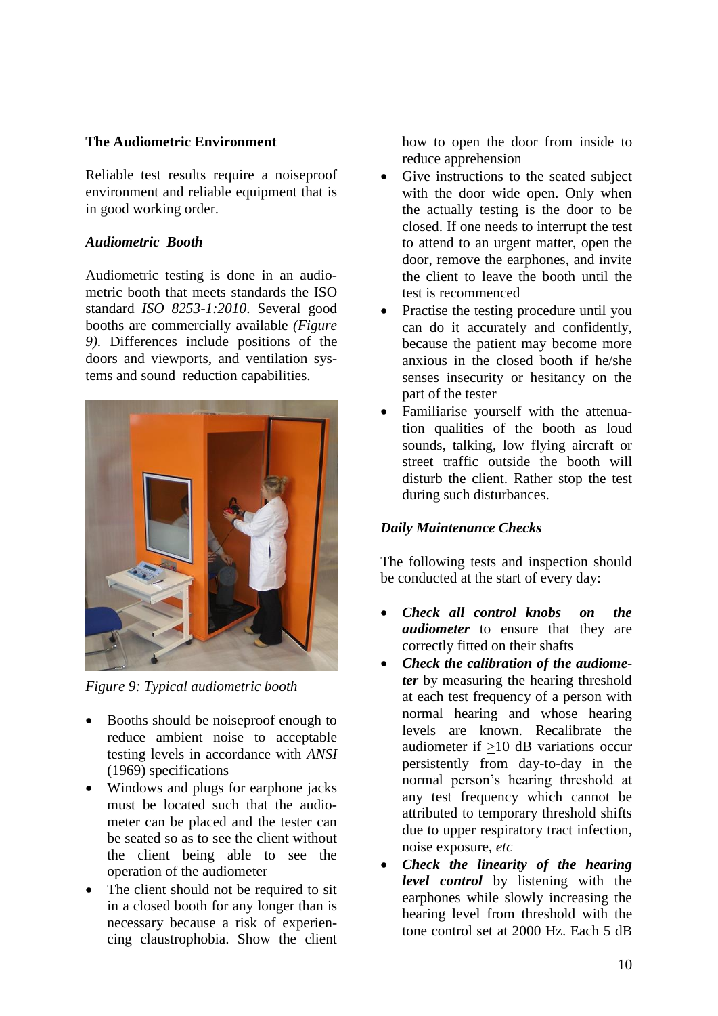### **The Audiometric Environment**

Reliable test results require a noiseproof environment and reliable equipment that is in good working order.

### *Audiometric Booth*

Audiometric testing is done in an audiometric booth that meets standards the ISO standard *ISO 8253-1:2010*. Several good booths are commercially available *(Figure 9)*. Differences include positions of the doors and viewports, and ventilation systems and sound reduction capabilities.



*Figure 9: Typical audiometric booth*

- Booths should be noiseproof enough to reduce ambient noise to acceptable testing levels in accordance with *ANSI* (1969) specifications
- Windows and plugs for earphone jacks must be located such that the audiometer can be placed and the tester can be seated so as to see the client without the client being able to see the operation of the audiometer
- The client should not be required to sit in a closed booth for any longer than is necessary because a risk of experiencing claustrophobia. Show the client

how to open the door from inside to reduce apprehension

- Give instructions to the seated subject with the door wide open. Only when the actually testing is the door to be closed. If one needs to interrupt the test to attend to an urgent matter, open the door, remove the earphones, and invite the client to leave the booth until the test is recommenced
- Practise the testing procedure until you can do it accurately and confidently, because the patient may become more anxious in the closed booth if he/she senses insecurity or hesitancy on the part of the tester
- Familiarise yourself with the attenuation qualities of the booth as loud sounds, talking, low flying aircraft or street traffic outside the booth will disturb the client. Rather stop the test during such disturbances.

## *Daily Maintenance Checks*

The following tests and inspection should be conducted at the start of every day:

- *Check all control knobs on the audiometer* to ensure that they are correctly fitted on their shafts
- *Check the calibration of the audiometer* by measuring the hearing threshold at each test frequency of a person with normal hearing and whose hearing levels are known. Recalibrate the audiometer if >10 dB variations occur persistently from day-to-day in the normal person's hearing threshold at any test frequency which cannot be attributed to temporary threshold shifts due to upper respiratory tract infection, noise exposure, *etc*
- *Check the linearity of the hearing level control* by listening with the earphones while slowly increasing the hearing level from threshold with the tone control set at 2000 Hz. Each 5 dB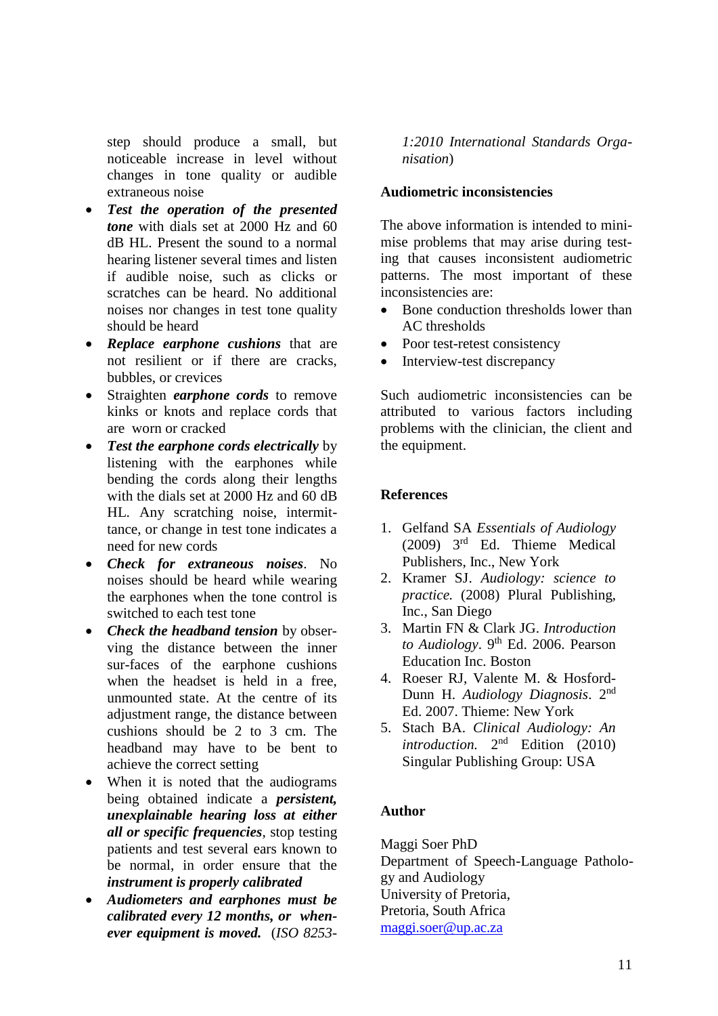step should produce a small, but noticeable increase in level without changes in tone quality or audible extraneous noise

- *Test the operation of the presented tone* with dials set at 2000 Hz and 60 dB HL. Present the sound to a normal hearing listener several times and listen if audible noise, such as clicks or scratches can be heard. No additional noises nor changes in test tone quality should be heard
- *Replace earphone cushions* that are not resilient or if there are cracks, bubbles, or crevices
- Straighten *earphone cords* to remove kinks or knots and replace cords that are worn or cracked
- *Test the earphone cords electrically* by listening with the earphones while bending the cords along their lengths with the dials set at 2000 Hz and 60 dB HL. Any scratching noise, intermittance, or change in test tone indicates a need for new cords
- *Check for extraneous noises*. No noises should be heard while wearing the earphones when the tone control is switched to each test tone
- *Check the headband tension* by observing the distance between the inner sur-faces of the earphone cushions when the headset is held in a free, unmounted state. At the centre of its adjustment range, the distance between cushions should be 2 to 3 cm. The headband may have to be bent to achieve the correct setting
- When it is noted that the audiograms being obtained indicate a *persistent, unexplainable hearing loss at either all or specific frequencies*, stop testing patients and test several ears known to be normal, in order ensure that the *instrument is properly calibrated*
- *Audiometers and earphones must be calibrated every 12 months, or whenever equipment is moved.* (*ISO 8253-*

*1:2010 International Standards Organisation*)

#### **Audiometric inconsistencies**

The above information is intended to minimise problems that may arise during testing that causes inconsistent audiometric patterns. The most important of these inconsistencies are:

- Bone conduction thresholds lower than AC thresholds
- Poor test-retest consistency
- Interview-test discrepancy

Such audiometric inconsistencies can be attributed to various factors including problems with the clinician, the client and the equipment.

### **References**

- 1. Gelfand SA *Essentials of Audiology* (2009) 3rd Ed. Thieme Medical Publishers, Inc., New York
- 2. Kramer SJ. *Audiology: science to practice.* (2008) Plural Publishing, Inc., San Diego
- 3. Martin FN & Clark JG. *Introduction to Audiology*. 9th Ed. 2006. Pearson Education Inc. Boston
- 4. Roeser RJ, Valente M. & Hosford-Dunn H. *Audiology Diagnosis*. 2nd Ed. 2007. Thieme: New York
- 5. Stach BA. *Clinical Audiology: An introduction.* 2<sup>nd</sup> Edition (2010) Singular Publishing Group: USA

### **Author**

Maggi Soer PhD Department of Speech-Language Pathology and Audiology University of Pretoria, Pretoria, South Africa [maggi.soer@up.ac.za](mailto:maggi.soer@up.ac.za)